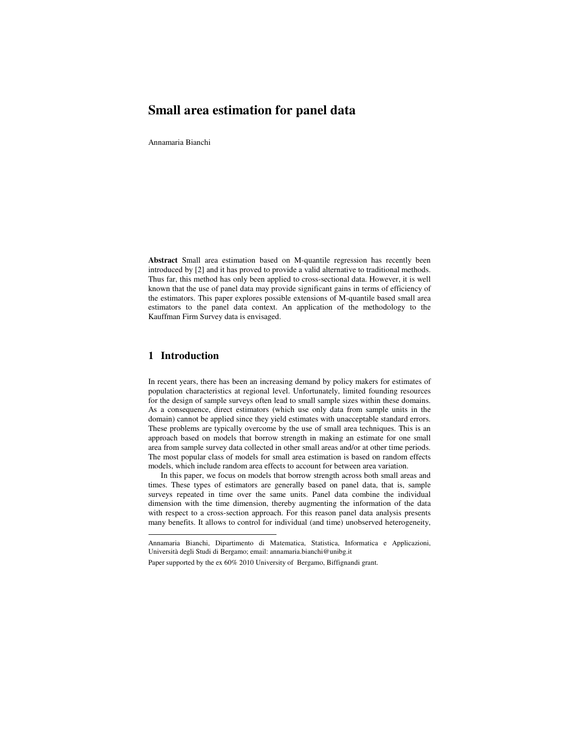# **Small area estimation for panel data**

Annamaria Bianchi

**Abstract** Small area estimation based on M-quantile regression has recently been introduced by [2] and it has proved to provide a valid alternative to traditional methods. Thus far, this method has only been applied to cross-sectional data. However, it is well known that the use of panel data may provide significant gains in terms of efficiency of the estimators. This paper explores possible extensions of M-quantile based small area estimators to the panel data context. An application of the methodology to the Kauffman Firm Survey data is envisaged.

## **1 Introduction**

<u>.</u>

In recent years, there has been an increasing demand by policy makers for estimates of population characteristics at regional level. Unfortunately, limited founding resources for the design of sample surveys often lead to small sample sizes within these domains. As a consequence, direct estimators (which use only data from sample units in the domain) cannot be applied since they yield estimates with unacceptable standard errors. These problems are typically overcome by the use of small area techniques. This is an approach based on models that borrow strength in making an estimate for one small area from sample survey data collected in other small areas and/or at other time periods. The most popular class of models for small area estimation is based on random effects models, which include random area effects to account for between area variation.

In this paper, we focus on models that borrow strength across both small areas and times. These types of estimators are generally based on panel data, that is, sample surveys repeated in time over the same units. Panel data combine the individual dimension with the time dimension, thereby augmenting the information of the data with respect to a cross-section approach. For this reason panel data analysis presents many benefits. It allows to control for individual (and time) unobserved heterogeneity,

Annamaria Bianchi, Dipartimento di Matematica, Statistica, Informatica e Applicazioni, Università degli Studi di Bergamo; email: annamaria.bianchi@unibg.it

Paper supported by the ex 60% 2010 University of Bergamo, Biffignandi grant.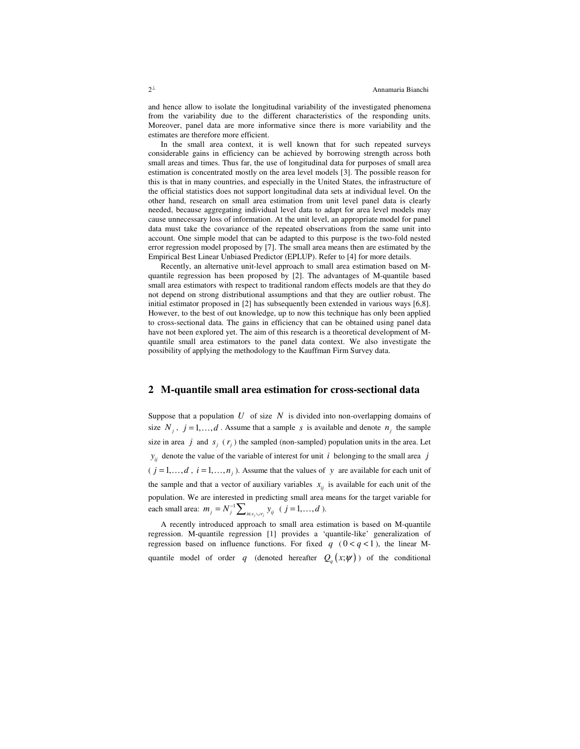and hence allow to isolate the longitudinal variability of the investigated phenomena from the variability due to the different characteristics of the responding units. Moreover, panel data are more informative since there is more variability and the estimates are therefore more efficient.

In the small area context, it is well known that for such repeated surveys considerable gains in efficiency can be achieved by borrowing strength across both small areas and times. Thus far, the use of longitudinal data for purposes of small area estimation is concentrated mostly on the area level models [3]. The possible reason for this is that in many countries, and especially in the United States, the infrastructure of the official statistics does not support longitudinal data sets at individual level. On the other hand, research on small area estimation from unit level panel data is clearly needed, because aggregating individual level data to adapt for area level models may cause unnecessary loss of information. At the unit level, an appropriate model for panel data must take the covariance of the repeated observations from the same unit into account. One simple model that can be adapted to this purpose is the two-fold nested error regression model proposed by [7]. The small area means then are estimated by the Empirical Best Linear Unbiased Predictor (EPLUP). Refer to [4] for more details.

Recently, an alternative unit-level approach to small area estimation based on Mquantile regression has been proposed by [2]. The advantages of M-quantile based small area estimators with respect to traditional random effects models are that they do not depend on strong distributional assumptions and that they are outlier robust. The initial estimator proposed in [2] has subsequently been extended in various ways [6,8]. However, to the best of out knowledge, up to now this technique has only been applied to cross-sectional data. The gains in efficiency that can be obtained using panel data have not been explored yet. The aim of this research is a theoretical development of Mquantile small area estimators to the panel data context. We also investigate the possibility of applying the methodology to the Kauffman Firm Survey data.

## **2 M-quantile small area estimation for cross-sectional data**

Suppose that a population  $U$  of size  $N$  is divided into non-overlapping domains of size  $N_j$ ,  $j = 1, ..., d$ . Assume that a sample *s* is available and denote  $n_j$  the sample size in area *j* and  $s_j$  ( $r_j$ ) the sampled (non-sampled) population units in the area. Let  $y_{ij}$  denote the value of the variable of interest for unit *i* belonging to the small area *j*  $(j = 1, ..., d, i = 1, ..., n<sub>j</sub>)$ . Assume that the values of *y* are available for each unit of the sample and that a vector of auxiliary variables  $x_{ij}$  is available for each unit of the population. We are interested in predicting small area means for the target variable for each small area:  $m_j = N_j^{-1} \sum_{i \in s_j \cup r_j} y_{ij}$  (  $j = 1, ..., d$  ).

A recently introduced approach to small area estimation is based on M-quantile regression. M-quantile regression [1] provides a 'quantile-like' generalization of regression based on influence functions. For fixed  $q \ (0 \leq q \leq 1)$ , the linear Mquantile model of order *q* (denoted hereafter  $Q_a(x; \psi)$ ) of the conditional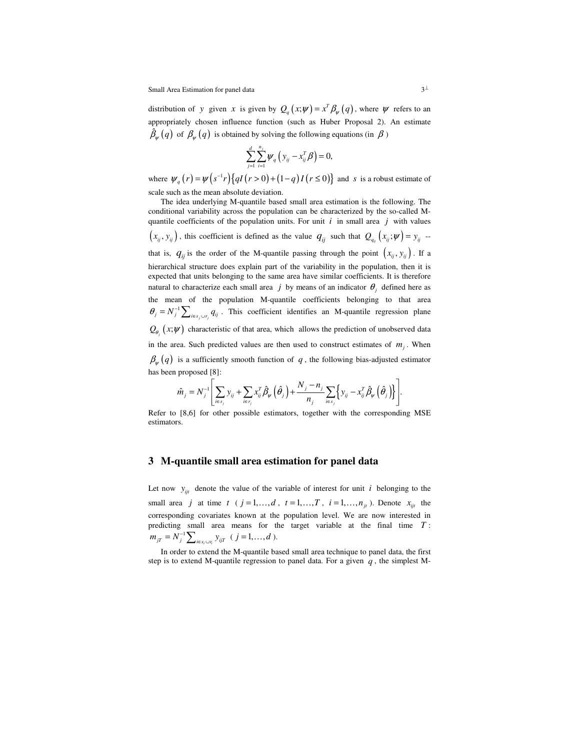Small Area Estimation for panel data  $3^{\perp}$ 

distribution of *y* given *x* is given by  $Q_q(x; \psi) = x^T \beta_\psi(q)$ , where  $\psi$  refers to an appropriately chosen influence function (such as Huber Proposal 2). An estimate  $\hat{\beta}_{\psi}(q)$  of  $\beta_{\psi}(q)$  is obtained by solving the following equations (in  $\beta$ )

$$
\sum_{j=1}^{d} \sum_{i=1}^{n_j} \psi_q \left( y_{ij} - x_{ij}^T \beta \right) = 0,
$$

where  $\psi_q(r) = \psi(s^{-1}r) \left\{ qI(r>0) + (1-q)I(r \le 0) \right\}$  and *s* is a robust estimate of scale such as the mean absolute deviation.

The idea underlying M-quantile based small area estimation is the following. The conditional variability across the population can be characterized by the so-called Mquantile coefficients of the population units. For unit  $i$  in small area  $j$  with values  $(x_{ij}, y_{ij})$ , this coefficient is defined as the value  $q_{ij}$  such that  $Q_{q_{ij}}(x_{ij}; \psi) = y_{ij}$  -that is,  $q_{ii}$  is the order of the M-quantile passing through the point  $(x_{ii}, y_{ii})$ . If a hierarchical structure does explain part of the variability in the population, then it is expected that units belonging to the same area have similar coefficients. It is therefore natural to characterize each small area *j* by means of an indicator  $\theta_j$  defined here as the mean of the population M-quantile coefficients belonging to that area 1  $\theta_j = N_j^{-1} \sum_{i \in s_j \cup r_j} q_{ij}$ . This coefficient identifies an M-quantile regression plane  $Q_{\theta_j}(x; \psi)$  characteristic of that area, which allows the prediction of unobserved data in the area. Such predicted values are then used to construct estimates of  $m_j$ . When  $\beta_{\psi}(q)$  is a sufficiently smooth function of q, the following bias-adjusted estimator has been proposed [8]:  $T \hat{\beta}$   $(\hat{\beta})$ ,  $T_j$   $T_j$   $T_j$ ,  $T_i$  $N_{i} - n$ −  $\begin{bmatrix} \n\sum_{i} a_i (a_i) & N_i - n_i \n\end{bmatrix}$ 

$$
\hat{m}_j = N_j^{-1} \left[ \sum_{i \in s_j} y_{ij} + \sum_{i \in r_j} x_{ij}^T \hat{\beta}_{\psi} \left( \hat{\theta}_j \right) + \frac{N_j - n_j}{n_j} \sum_{i \in s_j} \left\{ y_{ij} - x_{ij}^T \hat{\beta}_{\psi} \left( \hat{\theta}_j \right) \right\} \right].
$$

Refer to [8,6] for other possible estimators, together with the corresponding MSE estimators.

### **3 M-quantile small area estimation for panel data**

Let now  $y_{ijt}$  denote the value of the variable of interest for unit *i* belonging to the small area *j* at time *t* ( $j = 1, \ldots, d$ ,  $t = 1, \ldots, T$ ,  $i = 1, \ldots, n_{it}$ ). Denote  $x_{it}$  the corresponding covariates known at the population level. We are now interested in predicting small area means for the target variable at the final time *T* : 1  $m_{jT} = N_j^{-1} \sum_{i \in s_i \cup r_i} y_{ijT}$  (  $j = 1, ..., d$  ).

In order to extend the M-quantile based small area technique to panel data, the first step is to extend M-quantile regression to panel data. For a given  $q$ , the simplest M-